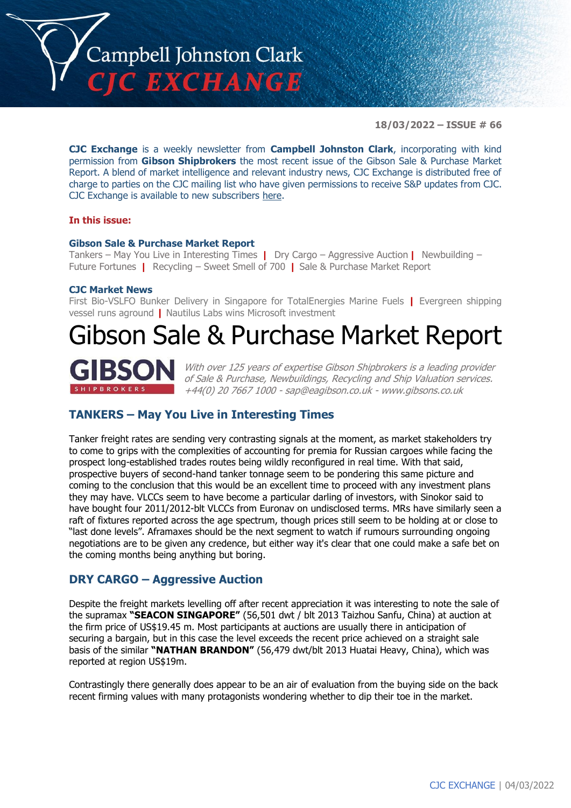

**18/03/2022 – ISSUE # 66**

**CJC Exchange** is a weekly newsletter from **Campbell Johnston Clark**, incorporating with kind permission from **Gibson Shipbrokers** the most recent issue of the Gibson Sale & Purchase Market Report. A blend of market intelligence and relevant industry news, CJC Exchange is distributed free of charge to parties on the CJC mailing list who have given permissions to receive S&P updates from CJC. CJC Exchange is available to new subscribers [here.](mailto:jamesc@cjclaw.com?subject=CJC%20Exchange%20sign-up)

#### **In this issue:**

#### **Gibson Sale & Purchase Market Report**

Tankers – May You Live in Interesting Times **|** Dry Cargo – Aggressive Auction **|** Newbuilding – Future Fortunes **|** Recycling – Sweet Smell of 700 **|** Sale & Purchase Market Report

#### **CJC Market News**

First Bio-VSLFO Bunker Delivery in Singapore for TotalEnergies Marine Fuels **|** Evergreen shipping vessel runs aground **|** Nautilus Labs wins Microsoft investment

# Gibson Sale & Purchase Market Report



With over 125 years of expertise Gibson Shipbrokers is a leading provider of Sale & Purchase, Newbuildings, Recycling and Ship Valuation services. +44(0) 20 7667 1000 - [sap@eagibson.co.uk](mailto:sap@eagibson.co.uk) - [www.gibsons.co.uk](https://protect-eu.mimecast.com/s/VO6nCGZzRS60KqcK1jQh/)

### **TANKERS – May You Live in Interesting Times**

Tanker freight rates are sending very contrasting signals at the moment, as market stakeholders try to come to grips with the complexities of accounting for premia for Russian cargoes while facing the prospect long-established trades routes being wildly reconfigured in real time. With that said, prospective buyers of second-hand tanker tonnage seem to be pondering this same picture and coming to the conclusion that this would be an excellent time to proceed with any investment plans they may have. VLCCs seem to have become a particular darling of investors, with Sinokor said to have bought four 2011/2012-blt VLCCs from Euronav on undisclosed terms. MRs have similarly seen a raft of fixtures reported across the age spectrum, though prices still seem to be holding at or close to "last done levels". Aframaxes should be the next segment to watch if rumours surrounding ongoing negotiations are to be given any credence, but either way it's clear that one could make a safe bet on the coming months being anything but boring.

#### **DRY CARGO – Aggressive Auction**

Despite the freight markets levelling off after recent appreciation it was interesting to note the sale of the supramax **"SEACON SINGAPORE"** (56,501 dwt / blt 2013 Taizhou Sanfu, China) at auction at the firm price of US\$19.45 m. Most participants at auctions are usually there in anticipation of securing a bargain, but in this case the level exceeds the recent price achieved on a straight sale basis of the similar **"NATHAN BRANDON"** (56,479 dwt/blt 2013 Huatai Heavy, China), which was reported at region US\$19m.

Contrastingly there generally does appear to be an air of evaluation from the buying side on the back recent firming values with many protagonists wondering whether to dip their toe in the market.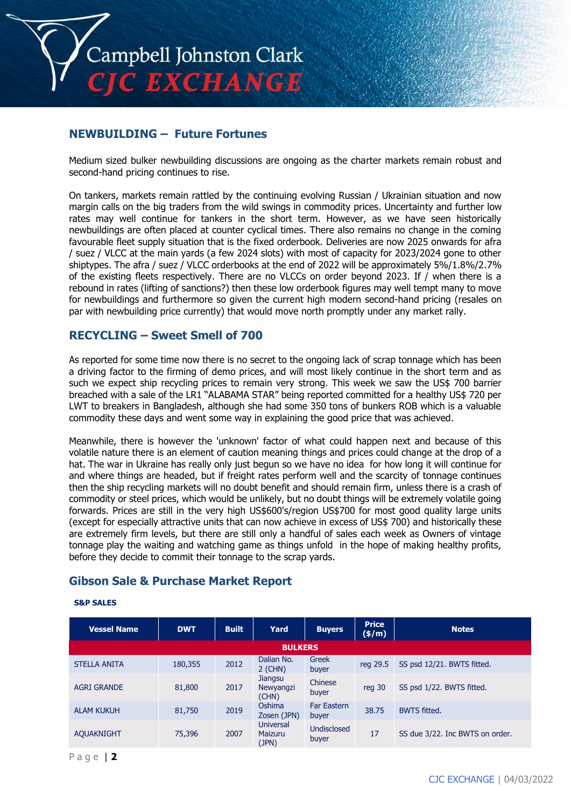

## **NEWBUILDING – Future Fortunes**

Medium sized bulker newbuilding discussions are ongoing as the charter markets remain robust and second-hand pricing continues to rise.

On tankers, markets remain rattled by the continuing evolving Russian / Ukrainian situation and now margin calls on the big traders from the wild swings in commodity prices. Uncertainty and further low rates may well continue for tankers in the short term. However, as we have seen historically newbuildings are often placed at counter cyclical times. There also remains no change in the coming favourable fleet supply situation that is the fixed orderbook. Deliveries are now 2025 onwards for afra / suez / VLCC at the main yards (a few 2024 slots) with most of capacity for 2023/2024 gone to other shiptypes. The afra / suez / VLCC orderbooks at the end of 2022 will be approximately 5%/1.8%/2.7% of the existing fleets respectively. There are no VLCCs on order beyond 2023. If / when there is a rebound in rates (lifting of sanctions?) then these low orderbook figures may well tempt many to move for newbuildings and furthermore so given the current high modern second-hand pricing (resales on par with newbuilding price currently) that would move north promptly under any market rally.

# **RECYCLING – Sweet Smell of 700**

As reported for some time now there is no secret to the ongoing lack of scrap tonnage which has been a driving factor to the firming of demo prices, and will most likely continue in the short term and as such we expect ship recycling prices to remain very strong. This week we saw the US\$ 700 barrier breached with a sale of the LR1 "ALABAMA STAR" being reported committed for a healthy US\$ 720 per LWT to breakers in Bangladesh, although she had some 350 tons of bunkers ROB which is a valuable commodity these days and went some way in explaining the good price that was achieved.

Meanwhile, there is however the 'unknown' factor of what could happen next and because of this volatile nature there is an element of caution meaning things and prices could change at the drop of a hat. The war in Ukraine has really only just begun so we have no idea for how long it will continue for and where things are headed, but if freight rates perform well and the scarcity of tonnage continues then the ship recycling markets will no doubt benefit and should remain firm, unless there is a crash of commodity or steel prices, which would be unlikely, but no doubt things will be extremely volatile going forwards. Prices are still in the very high US\$600's/region US\$700 for most good quality large units (except for especially attractive units that can now achieve in excess of US\$ 700) and historically these are extremely firm levels, but there are still only a handful of sales each week as Owners of vintage tonnage play the waiting and watching game as things unfold in the hope of making healthy profits, before they decide to commit their tonnage to the scrap yards.

# **Gibson Sale & Purchase Market Report**

#### **S&P SALES**

| <b>Vessel Name</b>  | <b>DWT</b> | <b>Built</b> | Yard                                 | <b>Buyers</b>               | <b>Price</b><br>$(\frac{\epsilon}{m})$ | <b>Notes</b>                    |  |  |
|---------------------|------------|--------------|--------------------------------------|-----------------------------|----------------------------------------|---------------------------------|--|--|
| <b>BULKERS</b>      |            |              |                                      |                             |                                        |                                 |  |  |
| <b>STELLA ANITA</b> | 180,355    | 2012         | Dalian No.<br>$2$ (CHN)              | Greek<br>buyer              | reg 29.5                               | SS psd 12/21. BWTS fitted.      |  |  |
| <b>AGRI GRANDE</b>  | 81,800     | 2017         | <b>Jiangsu</b><br>Newyangzi<br>(CHN) | Chinese<br>buyer            | reg 30                                 | SS psd 1/22. BWTS fitted.       |  |  |
| <b>ALAM KUKUH</b>   | 81,750     | 2019         | Oshima<br>Zosen (JPN)                | <b>Far Eastern</b><br>buyer | 38.75                                  | <b>BWTS fitted.</b>             |  |  |
| <b>AQUAKNIGHT</b>   | 75,396     | 2007         | <b>Universal</b><br>Maizuru<br>(JPN) | <b>Undisclosed</b><br>buyer | 17                                     | SS due 3/22. Inc BWTS on order. |  |  |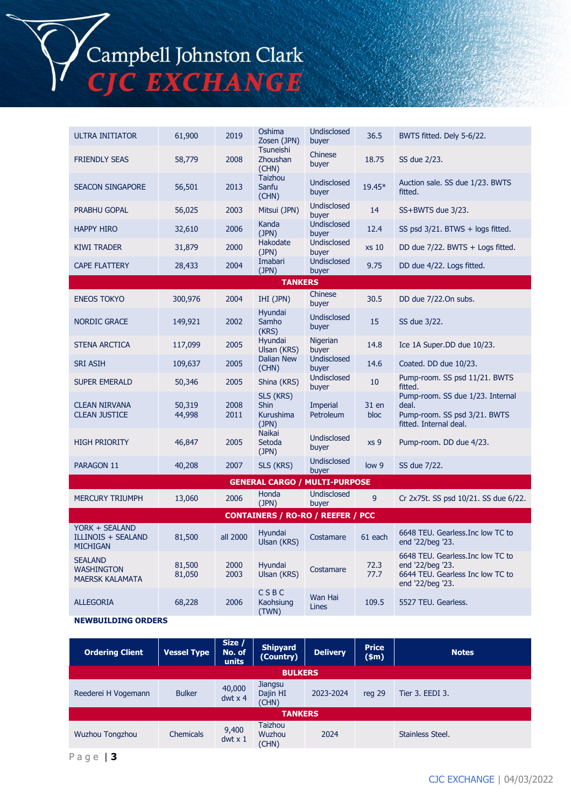Campbell Johnston Clark<br>CJC EXCHANGE

| <b>ULTRA INITIATOR</b>                                         | 61,900           | 2019         | Oshima<br>Zosen (JPN)                                 | <b>Undisclosed</b><br>buyer | 36.5            | BWTS fitted. Dely 5-6/22.                                                                                     |  |  |
|----------------------------------------------------------------|------------------|--------------|-------------------------------------------------------|-----------------------------|-----------------|---------------------------------------------------------------------------------------------------------------|--|--|
| <b>FRIENDLY SEAS</b>                                           | 58,779           | 2008         | <b>Tsuneishi</b><br><b>Zhoushan</b><br>(CHN)          | Chinese<br>buyer            | 18.75           | SS due 2/23.                                                                                                  |  |  |
| <b>SEACON SINGAPORE</b>                                        | 56,501           | 2013         | <b>Taizhou</b><br>Sanfu<br>(CHN)                      | <b>Undisclosed</b><br>buyer | 19.45*          | Auction sale. SS due 1/23. BWTS<br>fitted.                                                                    |  |  |
| <b>PRABHU GOPAL</b>                                            | 56,025           | 2003         | Mitsui (JPN)                                          | Undisclosed<br>buyer        | 14              | SS+BWTS due 3/23.                                                                                             |  |  |
| <b>HAPPY HIRO</b>                                              | 32,610           | 2006         | Kanda<br>(JPN)                                        | <b>Undisclosed</b><br>buver | 12.4            | SS psd 3/21. BTWS + logs fitted.                                                                              |  |  |
| <b>KIWI TRADER</b>                                             | 31,879           | 2000         | Hakodate<br>(JPN)                                     | Undisclosed<br>buyer        | xs 10           | DD due 7/22. BWTS + Logs fitted.                                                                              |  |  |
| <b>CAPE FLATTERY</b>                                           | 28,433           | 2004         | Imabari<br>(JPN)                                      | Undisclosed<br>buyer        | 9.75            | DD due 4/22. Logs fitted.                                                                                     |  |  |
|                                                                |                  |              | <b>TANKERS</b>                                        |                             |                 |                                                                                                               |  |  |
| <b>ENEOS TOKYO</b>                                             | 300,976          | 2004         | IHI (JPN)                                             | Chinese<br>buyer            | 30.5            | DD due 7/22.On subs.                                                                                          |  |  |
| <b>NORDIC GRACE</b>                                            | 149,921          | 2002         | Hyundai<br>Samho<br>(KRS)                             | Undisclosed<br>buyer        | 15              | SS due 3/22.                                                                                                  |  |  |
| <b>STENA ARCTICA</b>                                           | 117,099          | 2005         | Hyundai<br>Ulsan (KRS)                                | Nigerian<br>buyer           | 14.8            | Ice 1A Super.DD due 10/23.                                                                                    |  |  |
| <b>SRI ASIH</b>                                                | 109,637          | 2005         | <b>Dalian New</b><br>(CHN)                            | <b>Undisclosed</b><br>buyer | 14.6            | Coated. DD due 10/23.                                                                                         |  |  |
| <b>SUPER EMERALD</b>                                           | 50,346           | 2005         | Shina (KRS)                                           | <b>Undisclosed</b><br>buyer | 10              | Pump-room. SS psd 11/21. BWTS<br>fitted.                                                                      |  |  |
| <b>CLEAN NIRVANA</b><br><b>CLEAN JUSTICE</b>                   | 50,319<br>44,998 | 2008<br>2011 | SLS (KRS)<br><b>Shin</b><br><b>Kurushima</b><br>(JPN) | Imperial<br>Petroleum       | 31 en<br>bloc   | Pump-room. SS due 1/23. Internal<br>deal.<br>Pump-room. SS psd 3/21. BWTS<br>fitted. Internal deal.           |  |  |
| <b>HIGH PRIORITY</b>                                           | 46,847           | 2005         | <b>Naikai</b><br>Setoda<br>(JPN)                      | Undisclosed<br>buyer        | xs <sub>9</sub> | Pump-room. DD due 4/23.                                                                                       |  |  |
| PARAGON 11                                                     | 40,208           | 2007         | SLS (KRS)                                             | <b>Undisclosed</b><br>buyer | low 9           | SS due 7/22.                                                                                                  |  |  |
|                                                                |                  |              | <b>GENERAL CARGO / MULTI-PURPOSE</b>                  |                             |                 |                                                                                                               |  |  |
| <b>MERCURY TRIUMPH</b>                                         | 13,060           | 2006         | Honda<br>(JPN)                                        | <b>Undisclosed</b><br>buyer | 9               | Cr 2x75t. SS psd 10/21. SS due 6/22.                                                                          |  |  |
| <b>CONTAINERS / RO-RO / REEFER / PCC</b>                       |                  |              |                                                       |                             |                 |                                                                                                               |  |  |
| YORK + SEALAND<br><b>ILLINOIS + SEALAND</b><br><b>MICHIGAN</b> | 81,500           | all 2000     | Hyundai<br>Ulsan (KRS)                                | Costamare                   | 61 each         | 6648 TEU. Gearless. Inc low TC to<br>end '22/beg '23.                                                         |  |  |
| <b>SEALAND</b><br><b>WASHINGTON</b><br><b>MAERSK KALAMATA</b>  | 81,500<br>81,050 | 2000<br>2003 | Hyundai<br>Ulsan (KRS)                                | Costamare                   | 72.3<br>77.7    | 6648 TEU. Gearless. Inc low TC to<br>end '22/beg '23.<br>6644 TEU. Gearless Inc low TC to<br>end '22/beg '23. |  |  |
| <b>ALLEGORIA</b>                                               | 68,228           | 2006         | CSBC<br>Kaohsiung<br>(TWN)                            | Wan Hai<br>Lines            | 109.5           | 5527 TEU. Gearless.                                                                                           |  |  |

**NEWBUILDING ORDERS**

| <b>Ordering Client</b> | <b>Vessel Type</b> | Size /<br>No. of<br>units | <b>Shipyard</b><br>(Country)             | <b>Delivery</b> | <b>Price</b><br>\$m\$ | <b>Notes</b>     |  |
|------------------------|--------------------|---------------------------|------------------------------------------|-----------------|-----------------------|------------------|--|
| <b>BULKERS</b>         |                    |                           |                                          |                 |                       |                  |  |
| Reederei H Vogemann    | <b>Bulker</b>      | 40,000<br>$dwt \times 4$  | Jiangsu<br>Dajin HI<br>(CHN)             | 2023-2024       | reg 29                | Tier 3. EEDI 3.  |  |
| <b>TANKERS</b>         |                    |                           |                                          |                 |                       |                  |  |
| Wuzhou Tongzhou        | <b>Chemicals</b>   | 9,400<br>$dwt \times 1$   | <b>Taizhou</b><br><b>Wuzhou</b><br>(CHN) | 2024            |                       | Stainless Steel. |  |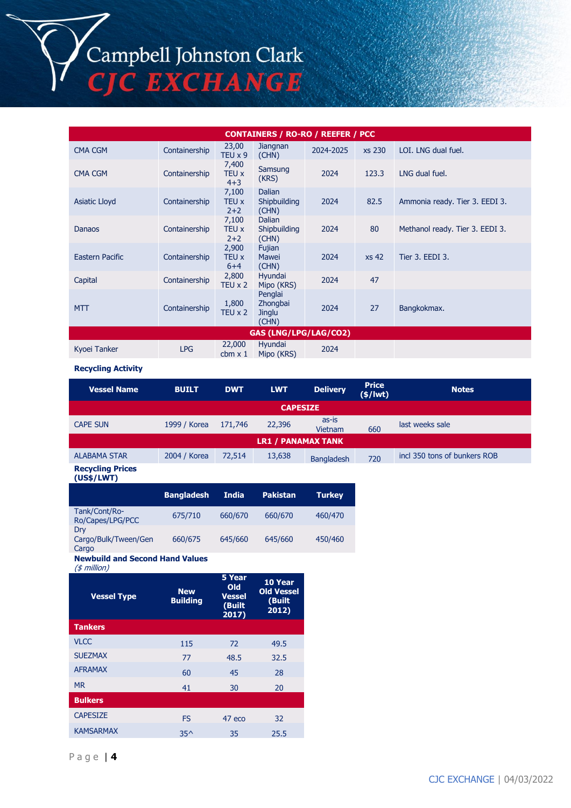Campbell Johnston Clark C EXCHANGE

**CONTAINERS / RO-RO / REEFER / PCC** CMA CGM Containership 23,00 TEU x 9 Jiangnan Jianghan 2024-2025 xs 230 LOI. LNG dual fuel. CMA CGM Containership 7,400 TEU x 4+3 Samsung<br>(KRS) 2024 123.3 LNG dual fuel. Asiatic Lloyd Containership 7,100 TEU x  $2+2$ Dalian Shipbuilding (CHN) 2024 82.5 Ammonia ready. Tier 3. EEDI 3. Danaos Containership 7,100 TEU x 2+2 Dalian Shipbuilding (CHN) 2024 80 Methanol ready. Tier 3. EEDI 3. Eastern Pacific Containership 2,900 TEU x  $6+4$ <br>2,800 Fujian Mawei (CHN) 2024 xs 42 Tier 3. EEDI 3. Capital Containership TEU x 2 Hyundai Hyundai 2024 47<br>Mipo (KRS) 2024 47 MTT Containership  $\frac{1,800}{\pi}$  $TEU \times 2$ Penglai **Zhongbai Jinglu** (CHN) 2024 27 Bangkokmax. **GAS (LNG/LPG/LAG/CO2)** Kyoei Tanker LPG 22,000  $2024$  cbm x 1 Mipo (KRS)  $2024$ Hyundai

#### **Recycling Activity**

| <b>Vessel Name</b>        | <b>BUILT</b> | <b>DWT</b> | <b>LWT</b> | <b>Delivery</b>   | <b>Price</b><br>$(*)$ lwt $)$ | <b>Notes</b>                 |  |
|---------------------------|--------------|------------|------------|-------------------|-------------------------------|------------------------------|--|
| <b>CAPESIZE</b>           |              |            |            |                   |                               |                              |  |
| <b>CAPE SUN</b>           | 1999 / Korea | 171,746    | 22,396     | as-is<br>Vietnam  | 660                           | last weeks sale              |  |
| <b>LR1 / PANAMAX TANK</b> |              |            |            |                   |                               |                              |  |
| <b>ALABAMA STAR</b>       | 2004 / Korea | 72,514     | 13,638     | <b>Bangladesh</b> | 720                           | incl 350 tons of bunkers ROB |  |
| <b>Recycling Prices</b>   |              |            |            |                   |                               |                              |  |

**(US\$/LWT)**

|                                      | <b>Bangladesh</b> | <b>India</b> | <b>Pakistan</b> | <b>Turkey</b> |
|--------------------------------------|-------------------|--------------|-----------------|---------------|
| Tank/Cont/Ro-<br>Ro/Capes/LPG/PCC    | 675/710           | 660/670      | 660/670         | 460/470       |
| Drv<br>Cargo/Bulk/Tween/Gen<br>Cargo | 660/675           | 645/660      | 645/660         | 450/460       |

**Newbuild and Second Hand Values**

(\$ million)

| <b>Vessel Type</b> | <b>New</b><br><b>Building</b> | 5 Year<br>Old<br><b>Vessel</b><br>(Built<br>2017) | 10 Year<br><b>Old Vessel</b><br>(Built<br>2012) |
|--------------------|-------------------------------|---------------------------------------------------|-------------------------------------------------|
| <b>Tankers</b>     |                               |                                                   |                                                 |
| <b>VLCC</b>        | 115                           | 72                                                | 49.5                                            |
| <b>SUEZMAX</b>     | 77                            | 48.5                                              | 32.5                                            |
| <b>AFRAMAX</b>     | 60                            | 45                                                | 28                                              |
| <b>MR</b>          | 41                            | 30                                                | 20                                              |
| <b>Bulkers</b>     |                               |                                                   |                                                 |
| <b>CAPESIZE</b>    | <b>FS</b>                     | 47 eco                                            | 32                                              |
| <b>KAMSARMAX</b>   | $35^$                         | 35                                                | 25.5                                            |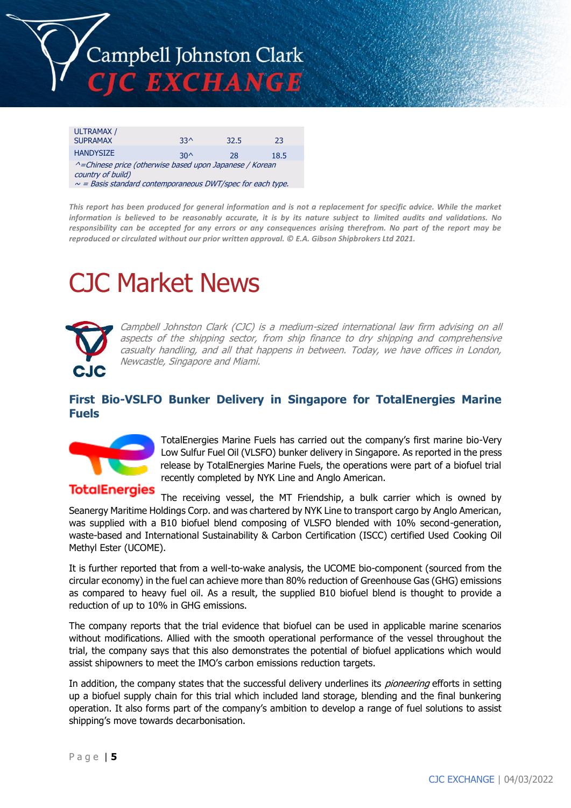

| <b>ULTRAMAX /</b>                                                            |       |      |      |  |  |  |  |
|------------------------------------------------------------------------------|-------|------|------|--|--|--|--|
| <b>SUPRAMAX</b>                                                              | $33^$ | 32.5 | 23   |  |  |  |  |
| <b>HANDYSIZE</b>                                                             | $30^$ | 28   | 18.5 |  |  |  |  |
| ^=Chinese price (otherwise based upon Japanese / Korean<br>country of build) |       |      |      |  |  |  |  |
| $\sim$ = Basis standard contemporaneous DWT/spec for each type.              |       |      |      |  |  |  |  |

*This report has been produced for general information and is not a replacement for specific advice. While the market information is believed to be reasonably accurate, it is by its nature subject to limited audits and validations. No responsibility can be accepted for any errors or any consequences arising therefrom. No part of the report may be reproduced or circulated without our prior written approval. © E.A. Gibson Shipbrokers Ltd 2021.*

# CJC Market News



Campbell Johnston Clark (CJC) is a medium-sized international law firm advising on all aspects of the shipping sector, from ship finance to dry shipping and comprehensive casualty handling, and all that happens in between. Today, we have offices in London, Newcastle, Singapore and Miami.

# **First Bio-VSLFO Bunker Delivery in Singapore for TotalEnergies Marine Fuels**



TotalEnergies Marine Fuels has carried out the company's first marine bio-Very Low Sulfur Fuel Oil (VLSFO) bunker delivery in Singapore. As reported in the press release by TotalEnergies Marine Fuels, the operations were part of a biofuel trial recently completed by NYK Line and Anglo American.

**TotalEnergies** The receiving vessel, the MT Friendship, a bulk carrier which is owned by Seanergy Maritime Holdings Corp. and was chartered by NYK Line to transport cargo by Anglo American, was supplied with a B10 biofuel blend composing of VLSFO blended with 10% second-generation, waste-based and International Sustainability & Carbon Certification (ISCC) certified Used Cooking Oil Methyl Ester (UCOME).

It is further reported that from a well-to-wake analysis, the UCOME bio-component (sourced from the circular economy) in the fuel can achieve more than 80% reduction of Greenhouse Gas (GHG) emissions as compared to heavy fuel oil. As a result, the supplied B10 biofuel blend is thought to provide a reduction of up to 10% in GHG emissions.

The company reports that the trial evidence that biofuel can be used in applicable marine scenarios without modifications. Allied with the smooth operational performance of the vessel throughout the trial, the company says that this also demonstrates the potential of biofuel applications which would assist shipowners to meet the IMO's carbon emissions reduction targets.

In addition, the company states that the successful delivery underlines its *pioneering* efforts in setting up a biofuel supply chain for this trial which included land storage, blending and the final bunkering operation. It also forms part of the company's ambition to develop a range of fuel solutions to assist shipping's move towards decarbonisation.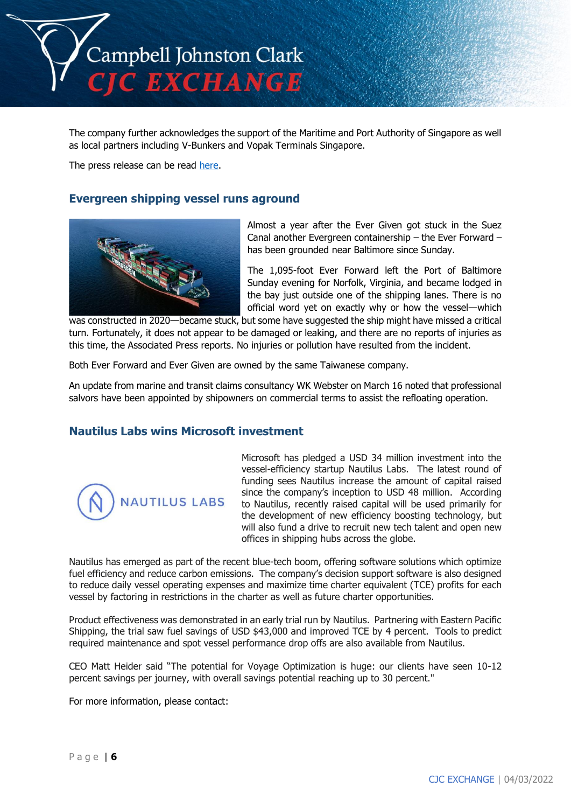

The company further acknowledges the support of the Maritime and Port Authority of Singapore as well as local partners including V-Bunkers and Vopak Terminals Singapore.

The press release can be read [here.](https://marinefuels.totalenergies.com/news/press-release/totalenergies-marine-fuels-completes-first-marine-bio-vlsfo-bunker-delivery-in-singapore)

#### **Evergreen shipping vessel runs aground**



Almost a year after the Ever Given got stuck in the Suez Canal another Evergreen containership – the Ever Forward – has been grounded near Baltimore since Sunday.

The 1,095-foot Ever Forward left the Port of Baltimore Sunday evening for Norfolk, Virginia, and became lodged in the bay just outside one of the shipping lanes. There is no official word yet on exactly why or how the vessel—which

was constructed in 2020—became stuck, but some have suggested the ship might have missed a critical turn. Fortunately, it does not appear to be damaged or leaking, and there are no reports of injuries as this time, the Associated Press reports. No injuries or pollution have resulted from the incident.

Both Ever Forward and Ever Given are owned by the same Taiwanese company.

An update from marine and transit claims consultancy WK Webster on March 16 noted that professional salvors have been appointed by shipowners on commercial terms to assist the refloating operation.

### **Nautilus Labs wins Microsoft investment**



Microsoft has pledged a USD 34 million investment into the vessel-efficiency startup Nautilus Labs. The latest round of funding sees Nautilus increase the amount of capital raised since the company's inception to USD 48 million. According to Nautilus, recently raised capital will be used primarily for the development of new efficiency boosting technology, but will also fund a drive to recruit new tech talent and open new offices in shipping hubs across the globe.

Nautilus has emerged as part of the recent blue-tech boom, offering software solutions which optimize fuel efficiency and reduce carbon emissions. The company's decision support software is also designed to reduce daily vessel operating expenses and maximize time charter equivalent (TCE) profits for each vessel by factoring in restrictions in the charter as well as future charter opportunities.

Product effectiveness was demonstrated in an early trial run by Nautilus. Partnering with Eastern Pacific Shipping, the trial saw fuel savings of USD \$43,000 and improved TCE by 4 percent. Tools to predict required maintenance and spot vessel performance drop offs are also available from Nautilus.

CEO Matt Heider said "The potential for Voyage Optimization is huge: our clients have seen 10-12 percent savings per journey, with overall savings potential reaching up to 30 percent."

For more information, please contact: